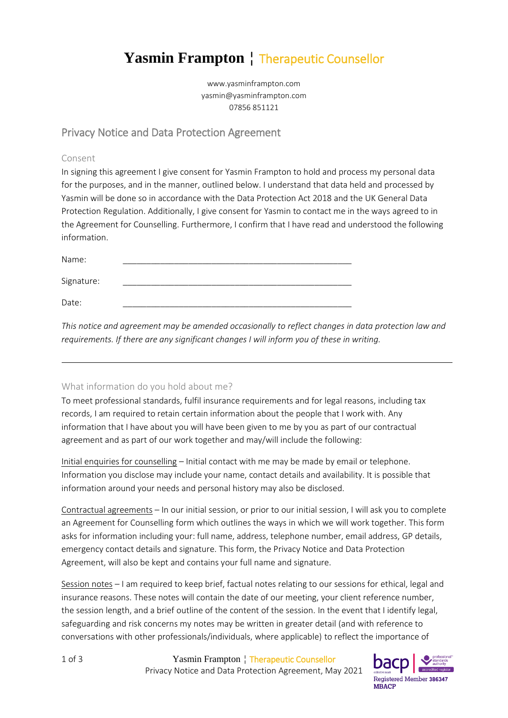# **Yasmin Frampton** ¦ Therapeutic Counsellor

www.yasminframpton.com yasmin@yasminframpton.com 07856 851121

## Privacy Notice and Data Protection Agreement

#### Consent

In signing this agreement I give consent for Yasmin Frampton to hold and process my personal data for the purposes, and in the manner, outlined below. I understand that data held and processed by Yasmin will be done so in accordance with the Data Protection Act 2018 and the UK General Data Protection Regulation. Additionally, I give consent for Yasmin to contact me in the ways agreed to in the Agreement for Counselling. Furthermore, I confirm that I have read and understood the following information.

| Name:      |  |  |
|------------|--|--|
| Signature: |  |  |
| Date:      |  |  |

*This notice and agreement may be amended occasionally to reflect changes in data protection law and requirements. If there are any significant changes I will inform you of these in writing.* 

#### What information do you hold about me?

To meet professional standards, fulfil insurance requirements and for legal reasons, including tax records, I am required to retain certain information about the people that I work with. Any information that I have about you will have been given to me by you as part of our contractual agreement and as part of our work together and may/will include the following:

Initial enquiries for counselling – Initial contact with me may be made by email or telephone. Information you disclose may include your name, contact details and availability. It is possible that information around your needs and personal history may also be disclosed.

Contractual agreements – In our initial session, or prior to our initial session, I will ask you to complete an Agreement for Counselling form which outlines the ways in which we will work together. This form asks for information including your: full name, address, telephone number, email address, GP details, emergency contact details and signature. This form, the Privacy Notice and Data Protection Agreement, will also be kept and contains your full name and signature.

Session notes – I am required to keep brief, factual notes relating to our sessions for ethical, legal and insurance reasons. These notes will contain the date of our meeting, your client reference number, the session length, and a brief outline of the content of the session. In the event that I identify legal, safeguarding and risk concerns my notes may be written in greater detail (and with reference to conversations with other professionals/individuals, where applicable) to reflect the importance of

1 of 3 Yasmin Frampton ¦ Therapeutic Counsellor Privacy Notice and Data Protection Agreement, May 2021

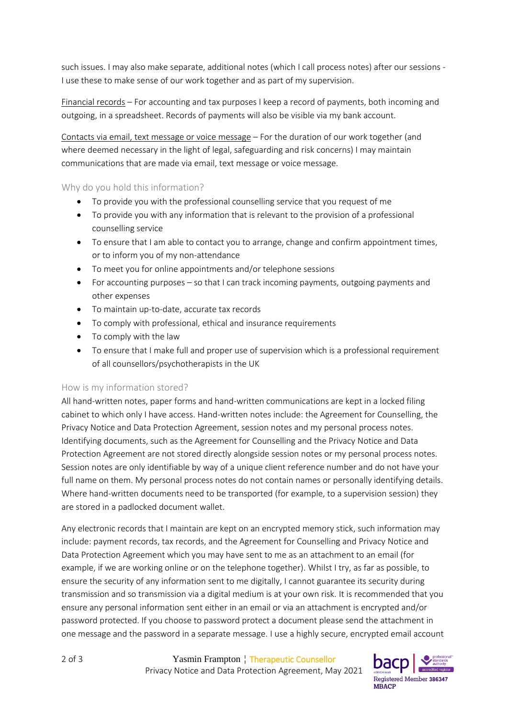such issues. I may also make separate, additional notes (which I call process notes) after our sessions - I use these to make sense of our work together and as part of my supervision.

Financial records – For accounting and tax purposes I keep a record of payments, both incoming and outgoing, in a spreadsheet. Records of payments will also be visible via my bank account.

Contacts via email, text message or voice message – For the duration of our work together (and where deemed necessary in the light of legal, safeguarding and risk concerns) I may maintain communications that are made via email, text message or voice message.

#### Why do you hold this information?

- To provide you with the professional counselling service that you request of me
- To provide you with any information that is relevant to the provision of a professional counselling service
- To ensure that I am able to contact you to arrange, change and confirm appointment times, or to inform you of my non-attendance
- To meet you for online appointments and/or telephone sessions
- For accounting purposes so that I can track incoming payments, outgoing payments and other expenses
- To maintain up-to-date, accurate tax records
- To comply with professional, ethical and insurance requirements
- To comply with the law
- To ensure that I make full and proper use of supervision which is a professional requirement of all counsellors/psychotherapists in the UK

#### How is my information stored?

All hand-written notes, paper forms and hand-written communications are kept in a locked filing cabinet to which only I have access. Hand-written notes include: the Agreement for Counselling, the Privacy Notice and Data Protection Agreement, session notes and my personal process notes. Identifying documents, such as the Agreement for Counselling and the Privacy Notice and Data Protection Agreement are not stored directly alongside session notes or my personal process notes. Session notes are only identifiable by way of a unique client reference number and do not have your full name on them. My personal process notes do not contain names or personally identifying details. Where hand-written documents need to be transported (for example, to a supervision session) they are stored in a padlocked document wallet.

Any electronic records that I maintain are kept on an encrypted memory stick, such information may include: payment records, tax records, and the Agreement for Counselling and Privacy Notice and Data Protection Agreement which you may have sent to me as an attachment to an email (for example, if we are working online or on the telephone together). Whilst I try, as far as possible, to ensure the security of any information sent to me digitally, I cannot guarantee its security during transmission and so transmission via a digital medium is at your own risk. It is recommended that you ensure any personal information sent either in an email or via an attachment is encrypted and/or password protected. If you choose to password protect a document please send the attachment in one message and the password in a separate message. I use a highly secure, encrypted email account

2 of 3 Yasmin Frampton ¦ Therapeutic Counsellor Privacy Notice and Data Protection Agreement, May 2021